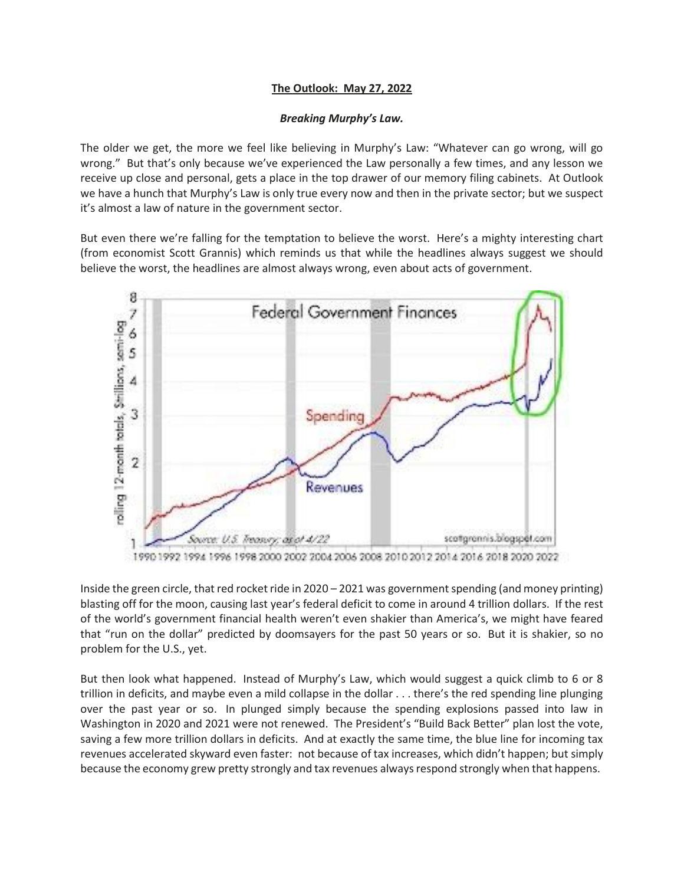## **The Outlook: May 27, 2022**

## *Breaking Murphy's Law.*

The older we get, the more we feel like believing in Murphy's Law: "Whatever can go wrong, will go wrong." But that's only because we've experienced the Law personally a few times, and any lesson we receive up close and personal, gets a place in the top drawer of our memory filing cabinets. At Outlook we have a hunch that Murphy's Law is only true every now and then in the private sector; but we suspect it's almost a law of nature in the government sector.

But even there we're falling for the temptation to believe the worst. Here's a mighty interesting chart (from economist Scott Grannis) which reminds us that while the headlines always suggest we should believe the worst, the headlines are almost always wrong, even about acts of government.



Inside the green circle, that red rocket ride in 2020 – 2021 was government spending (and money printing) blasting off for the moon, causing last year's federal deficit to come in around 4 trillion dollars. If the rest of the world's government financial health weren't even shakier than America's, we might have feared that "run on the dollar" predicted by doomsayers for the past 50 years or so. But it is shakier, so no problem for the U.S., yet.

But then look what happened. Instead of Murphy's Law, which would suggest a quick climb to 6 or 8 trillion in deficits, and maybe even a mild collapse in the dollar . . . there's the red spending line plunging over the past year or so. In plunged simply because the spending explosions passed into law in Washington in 2020 and 2021 were not renewed. The President's "Build Back Better" plan lost the vote, saving a few more trillion dollars in deficits. And at exactly the same time, the blue line for incoming tax revenues accelerated skyward even faster: not because of tax increases, which didn't happen; but simply because the economy grew pretty strongly and tax revenues always respond strongly when that happens.